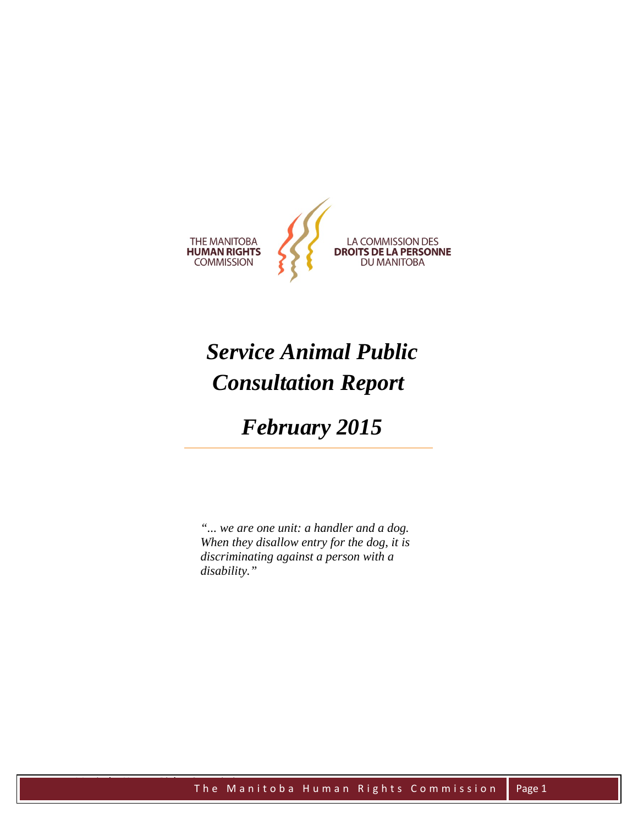

# *Service Animal Public Consultation Report*

## *February 2015*

*"... we are one unit: a handler and a dog. When they disallow entry for the dog, it is discriminating against a person with a disability."*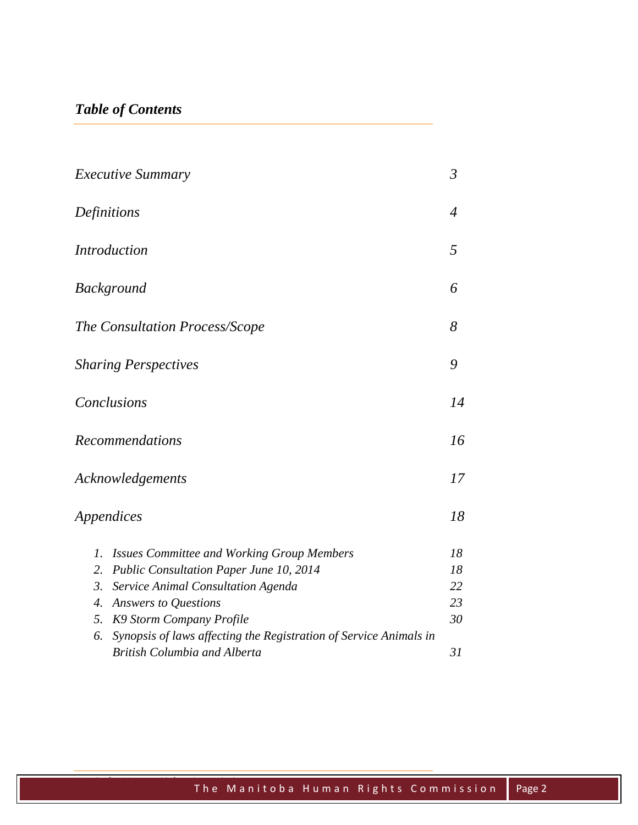## *Table of Contents*

| <i>Executive Summary</i><br>Definitions<br><i>Introduction</i> |                                                                   | $\mathfrak{Z}$      |
|----------------------------------------------------------------|-------------------------------------------------------------------|---------------------|
|                                                                |                                                                   | $\overline{4}$<br>5 |
|                                                                |                                                                   |                     |
|                                                                |                                                                   |                     |
|                                                                |                                                                   |                     |
| Conclusions<br><b>Recommendations</b>                          |                                                                   | 14                  |
|                                                                |                                                                   | 16                  |
| Acknowledgements                                               |                                                                   | 17                  |
| Appendices                                                     |                                                                   | 18                  |
| 1.                                                             | <b>Issues Committee and Working Group Members</b>                 | 18                  |
| 2.                                                             | Public Consultation Paper June 10, 2014                           | 18                  |
| 3.                                                             | Service Animal Consultation Agenda                                | 22                  |
| 4.                                                             | Answers to Questions                                              | 23                  |
| 5.                                                             | K9 Storm Company Profile                                          | 30                  |
| 6.                                                             | Synopsis of laws affecting the Registration of Service Animals in |                     |
|                                                                | <b>British Columbia and Alberta</b>                               | 31                  |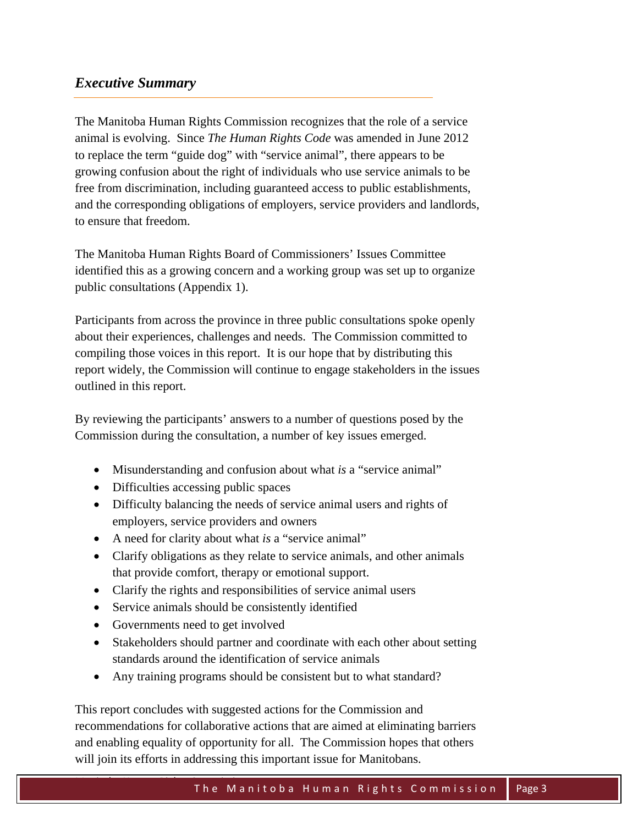## *Executive Summary*

The Manitoba Human Rights Commission recognizes that the role of a service animal is evolving. Since *The Human Rights Code* was amended in June 2012 to replace the term "guide dog" with "service animal", there appears to be growing confusion about the right of individuals who use service animals to be free from discrimination, including guaranteed access to public establishments, and the corresponding obligations of employers, service providers and landlords, to ensure that freedom.

The Manitoba Human Rights Board of Commissioners' Issues Committee identified this as a growing concern and a working group was set up to organize public consultations (Appendix 1).

Participants from across the province in three public consultations spoke openly about their experiences, challenges and needs. The Commission committed to compiling those voices in this report. It is our hope that by distributing this report widely, the Commission will continue to engage stakeholders in the issues outlined in this report.

By reviewing the participants' answers to a number of questions posed by the Commission during the consultation, a number of key issues emerged.

- Misunderstanding and confusion about what *is* a "service animal"
- Difficulties accessing public spaces
- Difficulty balancing the needs of service animal users and rights of employers, service providers and owners
- A need for clarity about what *is* a "service animal"
- Clarify obligations as they relate to service animals, and other animals that provide comfort, therapy or emotional support.
- Clarify the rights and responsibilities of service animal users
- Service animals should be consistently identified
- Governments need to get involved
- Stakeholders should partner and coordinate with each other about setting standards around the identification of service animals
- Any training programs should be consistent but to what standard?

This report concludes with suggested actions for the Commission and recommendations for collaborative actions that are aimed at eliminating barriers and enabling equality of opportunity for all. The Commission hopes that others will join its efforts in addressing this important issue for Manitobans.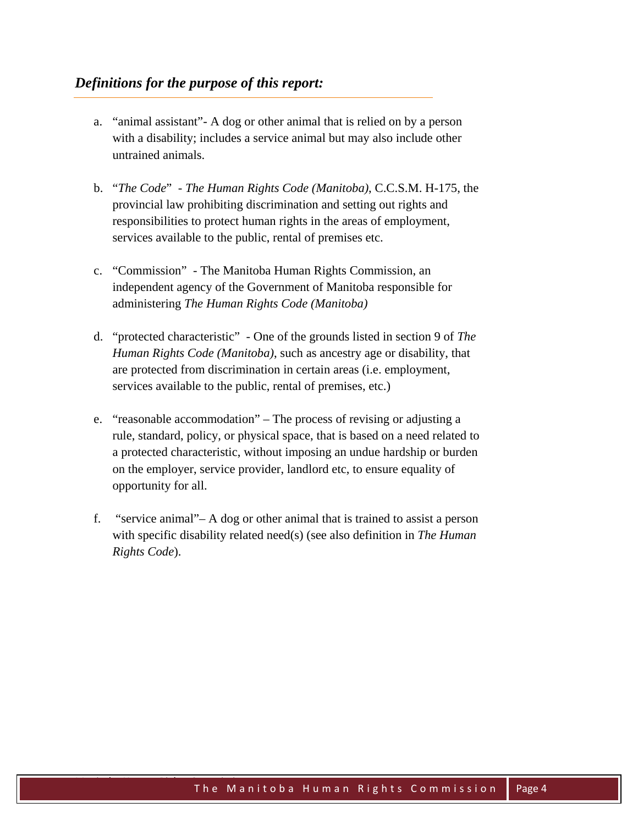- a. "animal assistant"- A dog or other animal that is relied on by a person with a disability; includes a service animal but may also include other untrained animals.
- b. "*The Code*" *The Human Rights Code (Manitoba)*, C.C.S.M. H-175, the provincial law prohibiting discrimination and setting out rights and responsibilities to protect human rights in the areas of employment, services available to the public, rental of premises etc.
- c. "Commission" The Manitoba Human Rights Commission, an independent agency of the Government of Manitoba responsible for administering *The Human Rights Code (Manitoba)*
- d. "protected characteristic" One of the grounds listed in section 9 of *The Human Rights Code (Manitoba)*, such as ancestry age or disability, that are protected from discrimination in certain areas (i.e. employment, services available to the public, rental of premises, etc.)
- e. "reasonable accommodation" The process of revising or adjusting a rule, standard, policy, or physical space, that is based on a need related to a protected characteristic, without imposing an undue hardship or burden on the employer, service provider, landlord etc, to ensure equality of opportunity for all.
- f. "service animal"– A dog or other animal that is trained to assist a person with specific disability related need(s) (see also definition in *The Human Rights Code*).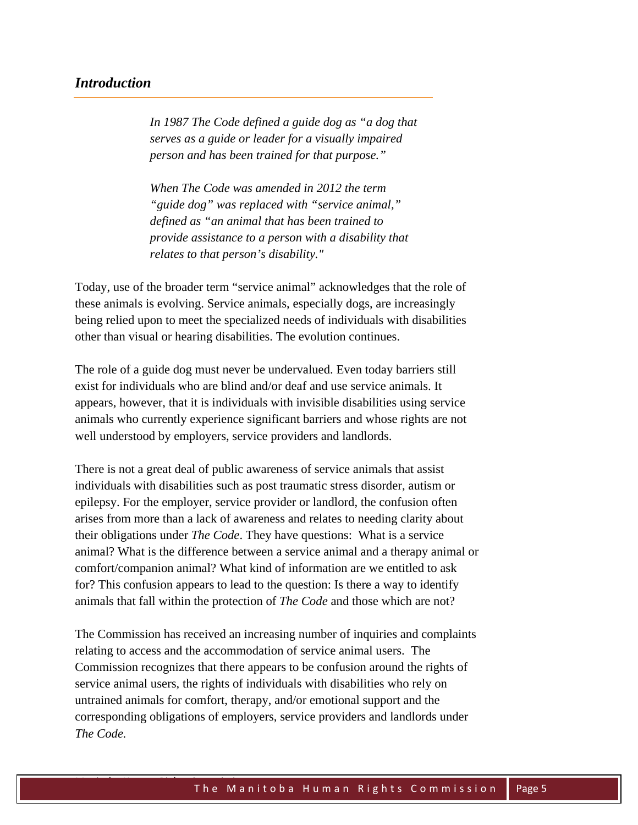## *Introduction*

*In 1987 The Code defined a guide dog as "a dog that serves as a guide or leader for a visually impaired person and has been trained for that purpose."* 

*When The Code was amended in 2012 the term "guide dog" was replaced with "service animal," defined as "an animal that has been trained to provide assistance to a person with a disability that relates to that person's disability."* 

Today, use of the broader term "service animal" acknowledges that the role of these animals is evolving. Service animals, especially dogs, are increasingly being relied upon to meet the specialized needs of individuals with disabilities other than visual or hearing disabilities. The evolution continues.

The role of a guide dog must never be undervalued. Even today barriers still exist for individuals who are blind and/or deaf and use service animals. It appears, however, that it is individuals with invisible disabilities using service animals who currently experience significant barriers and whose rights are not well understood by employers, service providers and landlords.

There is not a great deal of public awareness of service animals that assist individuals with disabilities such as post traumatic stress disorder, autism or epilepsy. For the employer, service provider or landlord, the confusion often arises from more than a lack of awareness and relates to needing clarity about their obligations under *The Code*. They have questions: What is a service animal? What is the difference between a service animal and a therapy animal or comfort/companion animal? What kind of information are we entitled to ask for? This confusion appears to lead to the question: Is there a way to identify animals that fall within the protection of *The Code* and those which are not?

The Commission has received an increasing number of inquiries and complaints relating to access and the accommodation of service animal users. The Commission recognizes that there appears to be confusion around the rights of service animal users, the rights of individuals with disabilities who rely on untrained animals for comfort, therapy, and/or emotional support and the corresponding obligations of employers, service providers and landlords under *The Code.*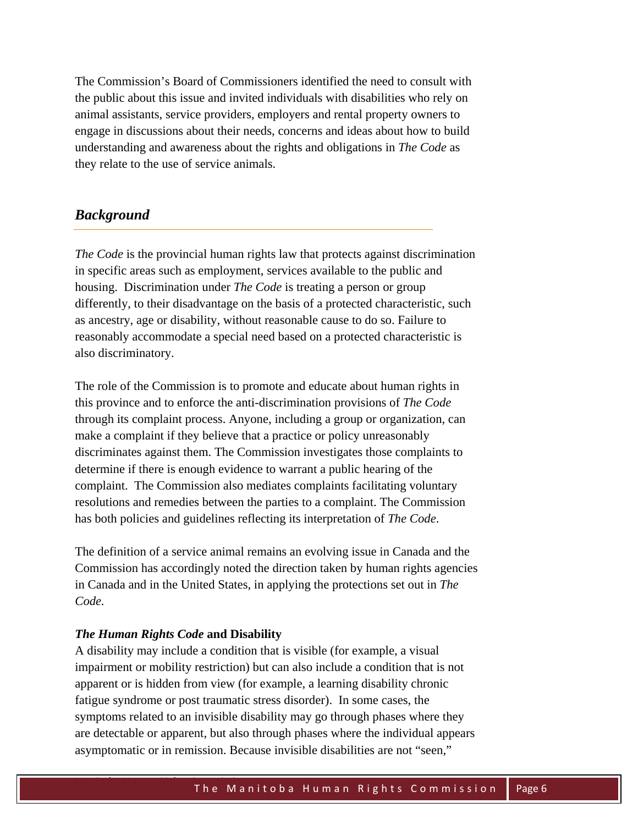The Commission's Board of Commissioners identified the need to consult with the public about this issue and invited individuals with disabilities who rely on animal assistants, service providers, employers and rental property owners to engage in discussions about their needs, concerns and ideas about how to build understanding and awareness about the rights and obligations in *The Code* as they relate to the use of service animals.

## *Background*

*The Code* is the provincial human rights law that protects against discrimination in specific areas such as employment, services available to the public and housing. Discrimination under *The Code* is treating a person or group differently, to their disadvantage on the basis of a protected characteristic, such as ancestry, age or disability, without reasonable cause to do so. Failure to reasonably accommodate a special need based on a protected characteristic is also discriminatory.

The role of the Commission is to promote and educate about human rights in this province and to enforce the anti-discrimination provisions of *The Code* through its complaint process. Anyone, including a group or organization, can make a complaint if they believe that a practice or policy unreasonably discriminates against them. The Commission investigates those complaints to determine if there is enough evidence to warrant a public hearing of the complaint. The Commission also mediates complaints facilitating voluntary resolutions and remedies between the parties to a complaint. The Commission has both policies and guidelines reflecting its interpretation of *The Code*.

The definition of a service animal remains an evolving issue in Canada and the Commission has accordingly noted the direction taken by human rights agencies in Canada and in the United States, in applying the protections set out in *The Code.* 

#### *The Human Rights Code* **and Disability**

A disability may include a condition that is visible (for example, a visual impairment or mobility restriction) but can also include a condition that is not apparent or is hidden from view (for example, a learning disability chronic fatigue syndrome or post traumatic stress disorder). In some cases, the symptoms related to an invisible disability may go through phases where they are detectable or apparent, but also through phases where the individual appears asymptomatic or in remission. Because invisible disabilities are not "seen,"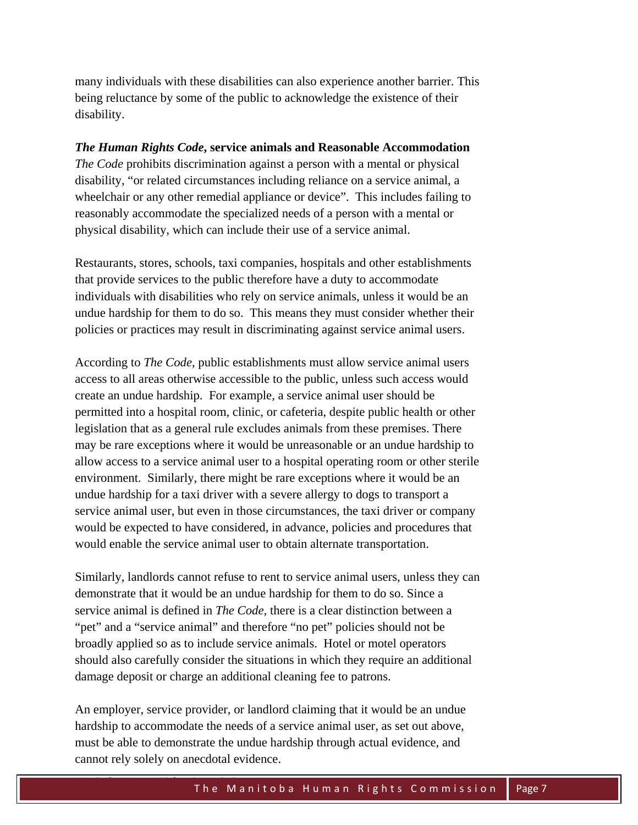many individuals with these disabilities can also experience another barrier. This being reluctance by some of the public to acknowledge the existence of their disability.

#### *The Human Rights Code***, service animals and Reasonable Accommodation**

*The Code* prohibits discrimination against a person with a mental or physical disability, "or related circumstances including reliance on a service animal, a wheelchair or any other remedial appliance or device". This includes failing to reasonably accommodate the specialized needs of a person with a mental or physical disability, which can include their use of a service animal.

Restaurants, stores, schools, taxi companies, hospitals and other establishments that provide services to the public therefore have a duty to accommodate individuals with disabilities who rely on service animals, unless it would be an undue hardship for them to do so. This means they must consider whether their policies or practices may result in discriminating against service animal users.

According to *The Code*, public establishments must allow service animal users access to all areas otherwise accessible to the public, unless such access would create an undue hardship. For example, a service animal user should be permitted into a hospital room, clinic, or cafeteria, despite public health or other legislation that as a general rule excludes animals from these premises. There may be rare exceptions where it would be unreasonable or an undue hardship to allow access to a service animal user to a hospital operating room or other sterile environment. Similarly, there might be rare exceptions where it would be an undue hardship for a taxi driver with a severe allergy to dogs to transport a service animal user, but even in those circumstances, the taxi driver or company would be expected to have considered, in advance, policies and procedures that would enable the service animal user to obtain alternate transportation.

Similarly, landlords cannot refuse to rent to service animal users, unless they can demonstrate that it would be an undue hardship for them to do so. Since a service animal is defined in *The Code,* there is a clear distinction between a "pet" and a "service animal" and therefore "no pet" policies should not be broadly applied so as to include service animals. Hotel or motel operators should also carefully consider the situations in which they require an additional damage deposit or charge an additional cleaning fee to patrons.

An employer, service provider, or landlord claiming that it would be an undue hardship to accommodate the needs of a service animal user, as set out above, must be able to demonstrate the undue hardship through actual evidence, and cannot rely solely on anecdotal evidence.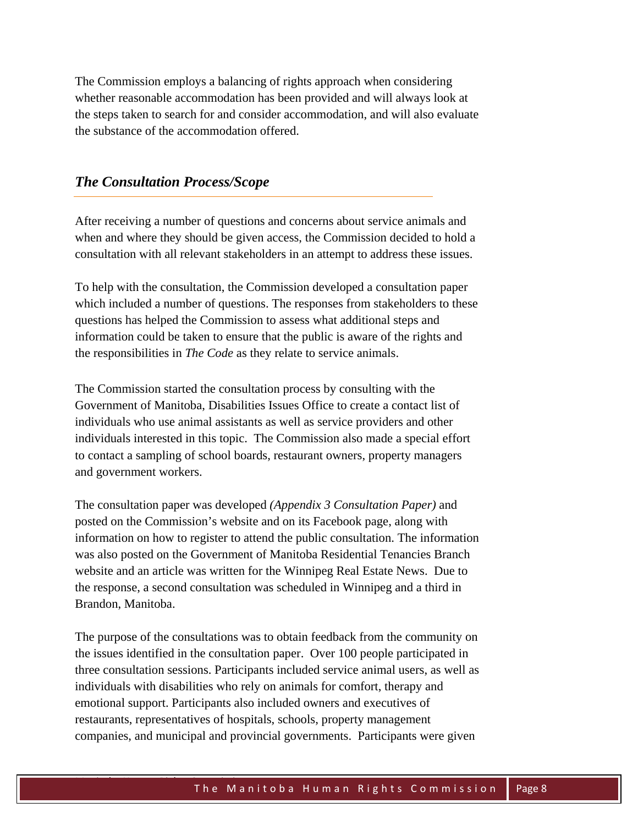The Commission employs a balancing of rights approach when considering whether reasonable accommodation has been provided and will always look at the steps taken to search for and consider accommodation, and will also evaluate the substance of the accommodation offered.

## *The Consultation Process/Scope*

After receiving a number of questions and concerns about service animals and when and where they should be given access, the Commission decided to hold a consultation with all relevant stakeholders in an attempt to address these issues.

To help with the consultation, the Commission developed a consultation paper which included a number of questions. The responses from stakeholders to these questions has helped the Commission to assess what additional steps and information could be taken to ensure that the public is aware of the rights and the responsibilities in *The Code* as they relate to service animals.

The Commission started the consultation process by consulting with the Government of Manitoba, Disabilities Issues Office to create a contact list of individuals who use animal assistants as well as service providers and other individuals interested in this topic. The Commission also made a special effort to contact a sampling of school boards, restaurant owners, property managers and government workers.

The consultation paper was developed *(Appendix 3 Consultation Paper)* and posted on the Commission's website and on its Facebook page, along with information on how to register to attend the public consultation. The information was also posted on the Government of Manitoba Residential Tenancies Branch website and an article was written for the Winnipeg Real Estate News. Due to the response, a second consultation was scheduled in Winnipeg and a third in Brandon, Manitoba.

The purpose of the consultations was to obtain feedback from the community on the issues identified in the consultation paper. Over 100 people participated in three consultation sessions. Participants included service animal users, as well as individuals with disabilities who rely on animals for comfort, therapy and emotional support. Participants also included owners and executives of restaurants, representatives of hospitals, schools, property management companies, and municipal and provincial governments. Participants were given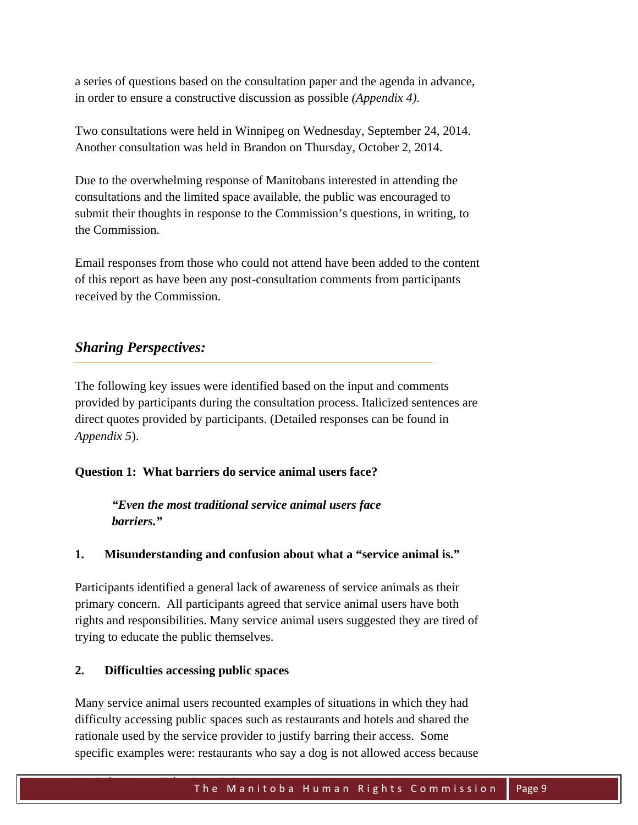a series of questions based on the consultation paper and the agenda in advance, in order to ensure a constructive discussion as possible *(Appendix 4)*.

Two consultations were held in Winnipeg on Wednesday, September 24, 2014. Another consultation was held in Brandon on Thursday, October 2, 2014.

Due to the overwhelming response of Manitobans interested in attending the consultations and the limited space available, the public was encouraged to submit their thoughts in response to the Commission's questions, in writing, to the Commission.

Email responses from those who could not attend have been added to the content of this report as have been any post-consultation comments from participants received by the Commission.

## *Sharing Perspectives:*

The following key issues were identified based on the input and comments provided by participants during the consultation process. Italicized sentences are direct quotes provided by participants. (Detailed responses can be found in *Appendix 5*).

## **Question 1: What barriers do service animal users face?**

*"Even the most traditional service animal users face barriers."* 

## **1. Misunderstanding and confusion about what a "service animal is."**

Participants identified a general lack of awareness of service animals as their primary concern. All participants agreed that service animal users have both rights and responsibilities. Many service animal users suggested they are tired of trying to educate the public themselves.

## **2. Difficulties accessing public spaces**

Many service animal users recounted examples of situations in which they had difficulty accessing public spaces such as restaurants and hotels and shared the rationale used by the service provider to justify barring their access. Some specific examples were: restaurants who say a dog is not allowed access because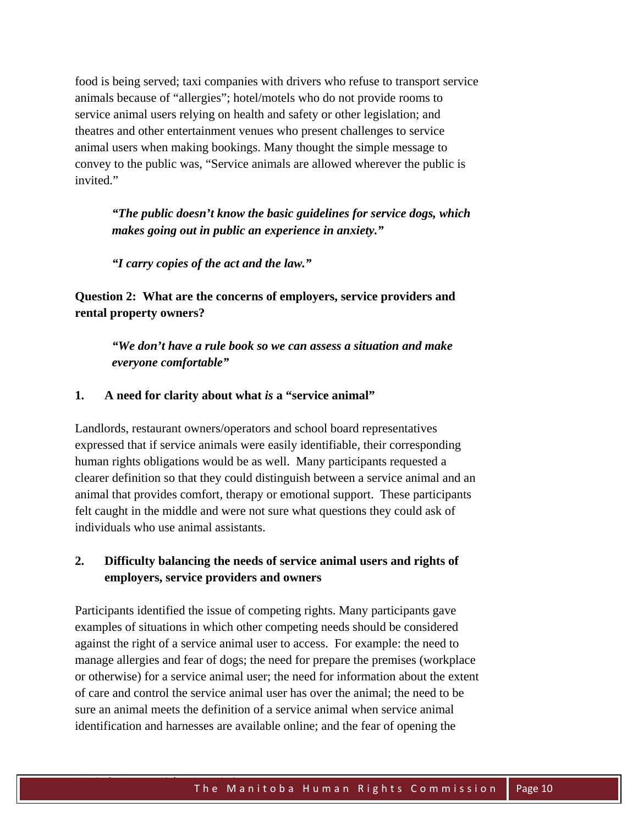food is being served; taxi companies with drivers who refuse to transport service animals because of "allergies"; hotel/motels who do not provide rooms to service animal users relying on health and safety or other legislation; and theatres and other entertainment venues who present challenges to service animal users when making bookings. Many thought the simple message to convey to the public was, "Service animals are allowed wherever the public is invited."

*"The public doesn't know the basic guidelines for service dogs, which makes going out in public an experience in anxiety."* 

*"I carry copies of the act and the law."* 

**Question 2: What are the concerns of employers, service providers and rental property owners?** 

*"We don't have a rule book so we can assess a situation and make everyone comfortable"* 

#### **1. A need for clarity about what** *is* **a "service animal"**

Landlords, restaurant owners/operators and school board representatives expressed that if service animals were easily identifiable, their corresponding human rights obligations would be as well. Many participants requested a clearer definition so that they could distinguish between a service animal and an animal that provides comfort, therapy or emotional support. These participants felt caught in the middle and were not sure what questions they could ask of individuals who use animal assistants.

## **2. Difficulty balancing the needs of service animal users and rights of employers, service providers and owners**

Participants identified the issue of competing rights. Many participants gave examples of situations in which other competing needs should be considered against the right of a service animal user to access. For example: the need to manage allergies and fear of dogs; the need for prepare the premises (workplace or otherwise) for a service animal user; the need for information about the extent of care and control the service animal user has over the animal; the need to be sure an animal meets the definition of a service animal when service animal identification and harnesses are available online; and the fear of opening the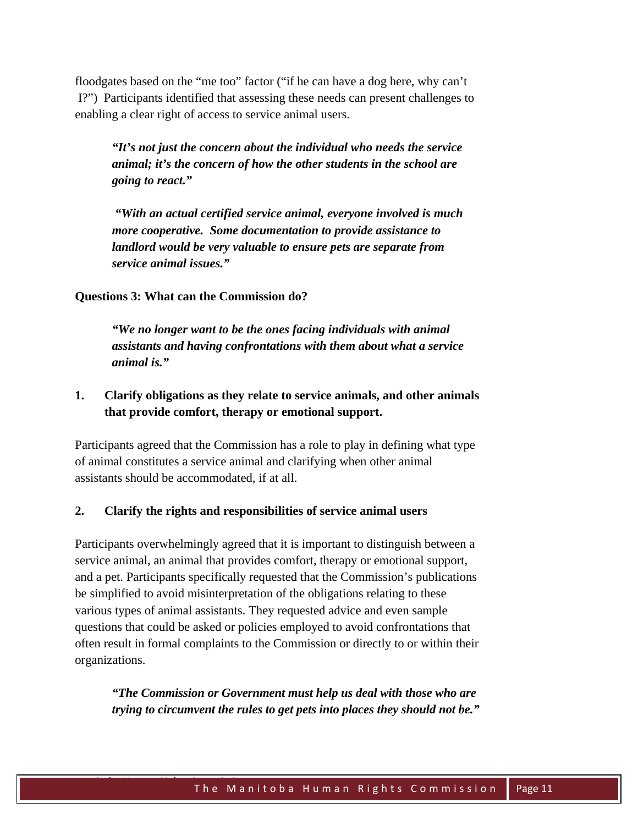floodgates based on the "me too" factor ("if he can have a dog here, why can't I?") Participants identified that assessing these needs can present challenges to enabling a clear right of access to service animal users.

*"It's not just the concern about the individual who needs the service animal; it's the concern of how the other students in the school are going to react."* 

*"With an actual certified service animal, everyone involved is much more cooperative. Some documentation to provide assistance to landlord would be very valuable to ensure pets are separate from service animal issues."* 

**Questions 3: What can the Commission do?** 

*"We no longer want to be the ones facing individuals with animal assistants and having confrontations with them about what a service animal is."* 

## **1. Clarify obligations as they relate to service animals, and other animals that provide comfort, therapy or emotional support.**

Participants agreed that the Commission has a role to play in defining what type of animal constitutes a service animal and clarifying when other animal assistants should be accommodated, if at all.

#### **2. Clarify the rights and responsibilities of service animal users**

Participants overwhelmingly agreed that it is important to distinguish between a service animal, an animal that provides comfort, therapy or emotional support, and a pet. Participants specifically requested that the Commission's publications be simplified to avoid misinterpretation of the obligations relating to these various types of animal assistants. They requested advice and even sample questions that could be asked or policies employed to avoid confrontations that often result in formal complaints to the Commission or directly to or within their organizations.

*"The Commission or Government must help us deal with those who are trying to circumvent the rules to get pets into places they should not be."*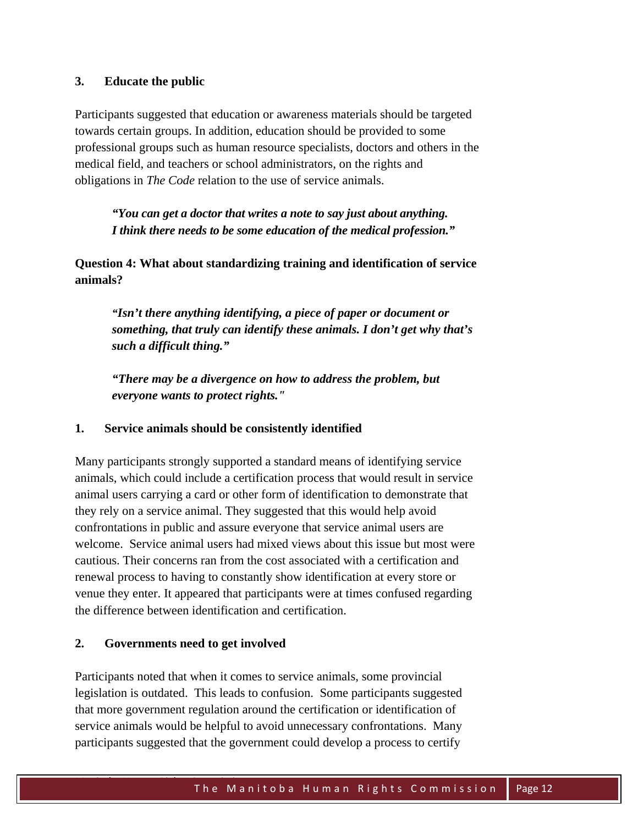#### **3. Educate the public**

Participants suggested that education or awareness materials should be targeted towards certain groups. In addition, education should be provided to some professional groups such as human resource specialists, doctors and others in the medical field, and teachers or school administrators, on the rights and obligations in *The Code* relation to the use of service animals.

*"You can get a doctor that writes a note to say just about anything. I think there needs to be some education of the medical profession."* 

**Question 4: What about standardizing training and identification of service animals?** 

*"Isn't there anything identifying, a piece of paper or document or something, that truly can identify these animals. I don't get why that's such a difficult thing."* 

*"There may be a divergence on how to address the problem, but everyone wants to protect rights."* 

#### **1. Service animals should be consistently identified**

Many participants strongly supported a standard means of identifying service animals, which could include a certification process that would result in service animal users carrying a card or other form of identification to demonstrate that they rely on a service animal. They suggested that this would help avoid confrontations in public and assure everyone that service animal users are welcome. Service animal users had mixed views about this issue but most were cautious. Their concerns ran from the cost associated with a certification and renewal process to having to constantly show identification at every store or venue they enter. It appeared that participants were at times confused regarding the difference between identification and certification.

#### **2. Governments need to get involved**

Participants noted that when it comes to service animals, some provincial legislation is outdated. This leads to confusion. Some participants suggested that more government regulation around the certification or identification of service animals would be helpful to avoid unnecessary confrontations. Many participants suggested that the government could develop a process to certify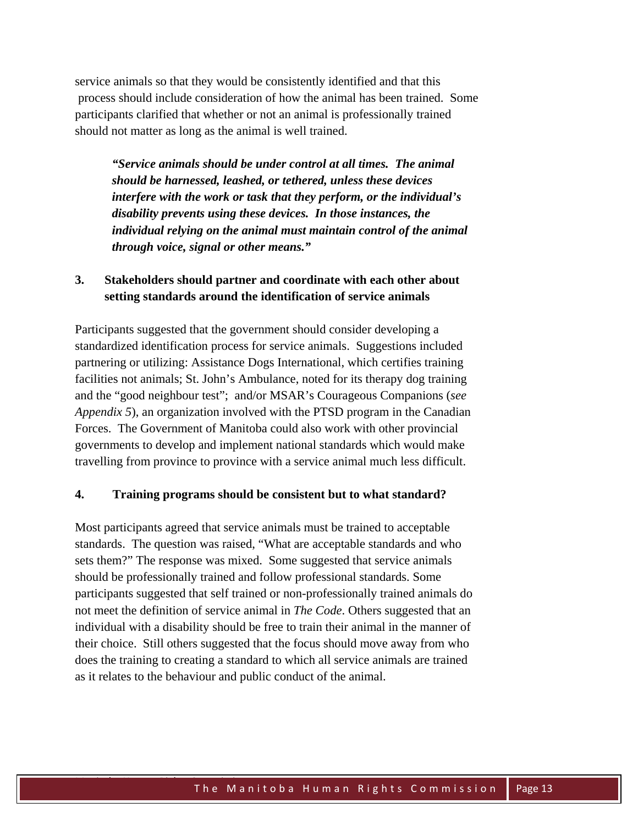service animals so that they would be consistently identified and that this process should include consideration of how the animal has been trained. Some participants clarified that whether or not an animal is professionally trained should not matter as long as the animal is well trained.

*"Service animals should be under control at all times. The animal should be harnessed, leashed, or tethered, unless these devices interfere with the work or task that they perform, or the individual's disability prevents using these devices. In those instances, the individual relying on the animal must maintain control of the animal through voice, signal or other means."* 

## **3. Stakeholders should partner and coordinate with each other about setting standards around the identification of service animals**

Participants suggested that the government should consider developing a standardized identification process for service animals. Suggestions included partnering or utilizing: Assistance Dogs International, which certifies training facilities not animals; St. John's Ambulance, noted for its therapy dog training and the "good neighbour test"; and/or MSAR's Courageous Companions (*see Appendix 5*), an organization involved with the PTSD program in the Canadian Forces. The Government of Manitoba could also work with other provincial governments to develop and implement national standards which would make travelling from province to province with a service animal much less difficult.

#### **4. Training programs should be consistent but to what standard?**

Most participants agreed that service animals must be trained to acceptable standards. The question was raised, "What are acceptable standards and who sets them?" The response was mixed. Some suggested that service animals should be professionally trained and follow professional standards. Some participants suggested that self trained or non-professionally trained animals do not meet the definition of service animal in *The Code*. Others suggested that an individual with a disability should be free to train their animal in the manner of their choice. Still others suggested that the focus should move away from who does the training to creating a standard to which all service animals are trained as it relates to the behaviour and public conduct of the animal.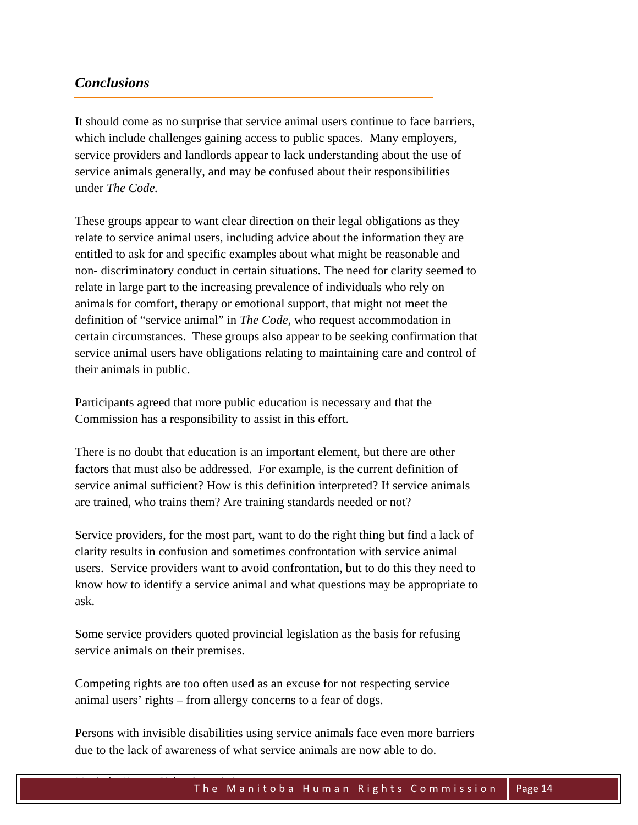## *Conclusions*

It should come as no surprise that service animal users continue to face barriers, which include challenges gaining access to public spaces. Many employers, service providers and landlords appear to lack understanding about the use of service animals generally, and may be confused about their responsibilities under *The Code.* 

These groups appear to want clear direction on their legal obligations as they relate to service animal users, including advice about the information they are entitled to ask for and specific examples about what might be reasonable and non- discriminatory conduct in certain situations. The need for clarity seemed to relate in large part to the increasing prevalence of individuals who rely on animals for comfort, therapy or emotional support, that might not meet the definition of "service animal" in *The Code,* who request accommodation in certain circumstances. These groups also appear to be seeking confirmation that service animal users have obligations relating to maintaining care and control of their animals in public.

Participants agreed that more public education is necessary and that the Commission has a responsibility to assist in this effort.

There is no doubt that education is an important element, but there are other factors that must also be addressed. For example, is the current definition of service animal sufficient? How is this definition interpreted? If service animals are trained, who trains them? Are training standards needed or not?

Service providers, for the most part, want to do the right thing but find a lack of clarity results in confusion and sometimes confrontation with service animal users. Service providers want to avoid confrontation, but to do this they need to know how to identify a service animal and what questions may be appropriate to ask.

Some service providers quoted provincial legislation as the basis for refusing service animals on their premises.

Competing rights are too often used as an excuse for not respecting service animal users' rights – from allergy concerns to a fear of dogs.

Persons with invisible disabilities using service animals face even more barriers due to the lack of awareness of what service animals are now able to do.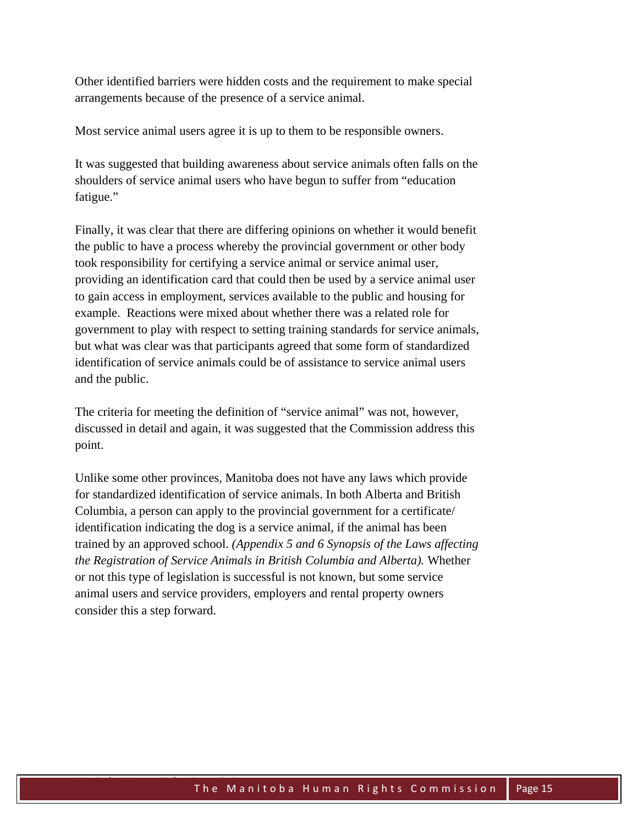Other identified barriers were hidden costs and the requirement to make special arrangements because of the presence of a service animal.

Most service animal users agree it is up to them to be responsible owners.

It was suggested that building awareness about service animals often falls on the shoulders of service animal users who have begun to suffer from "education fatigue."

Finally, it was clear that there are differing opinions on whether it would benefit the public to have a process whereby the provincial government or other body took responsibility for certifying a service animal or service animal user, providing an identification card that could then be used by a service animal user to gain access in employment, services available to the public and housing for example. Reactions were mixed about whether there was a related role for government to play with respect to setting training standards for service animals, but what was clear was that participants agreed that some form of standardized identification of service animals could be of assistance to service animal users and the public.

The criteria for meeting the definition of "service animal" was not, however, discussed in detail and again, it was suggested that the Commission address this point.

Unlike some other provinces, Manitoba does not have any laws which provide for standardized identification of service animals. In both Alberta and British Columbia, a person can apply to the provincial government for a certificate/ identification indicating the dog is a service animal, if the animal has been trained by an approved school. *(Appendix 5 and 6 Synopsis of the Laws affecting the Registration of Service Animals in British Columbia and Alberta).* Whether or not this type of legislation is successful is not known, but some service animal users and service providers, employers and rental property owners consider this a step forward.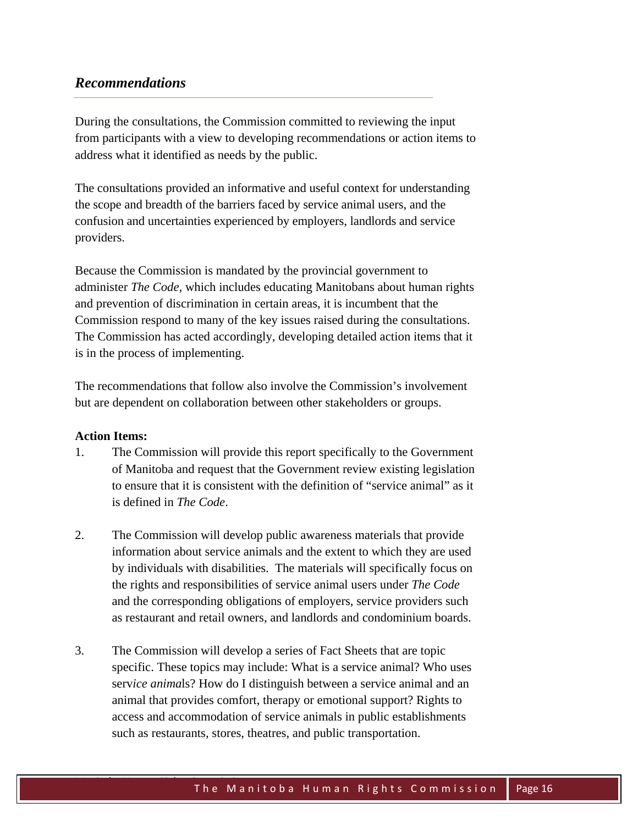## *Recommendations*

During the consultations, the Commission committed to reviewing the input from participants with a view to developing recommendations or action items to address what it identified as needs by the public.

The consultations provided an informative and useful context for understanding the scope and breadth of the barriers faced by service animal users, and the confusion and uncertainties experienced by employers, landlords and service providers.

Because the Commission is mandated by the provincial government to administer *The Code,* which includes educating Manitobans about human rights and prevention of discrimination in certain areas, it is incumbent that the Commission respond to many of the key issues raised during the consultations. The Commission has acted accordingly, developing detailed action items that it is in the process of implementing.

The recommendations that follow also involve the Commission's involvement but are dependent on collaboration between other stakeholders or groups.

#### **Action Items:**

- 1. The Commission will provide this report specifically to the Government of Manitoba and request that the Government review existing legislation to ensure that it is consistent with the definition of "service animal" as it is defined in *The Code*.
- 2. The Commission will develop public awareness materials that provide information about service animals and the extent to which they are used by individuals with disabilities. The materials will specifically focus on the rights and responsibilities of service animal users under *The Code*  and the corresponding obligations of employers, service providers such as restaurant and retail owners, and landlords and condominium boards.
- 3. The Commission will develop a series of Fact Sheets that are topic specific. These topics may include: What is a service animal? Who uses serv*ice anima*ls? How do I distinguish between a service animal and an animal that provides comfort, therapy or emotional support? Rights to access and accommodation of service animals in public establishments such as restaurants, stores, theatres, and public transportation.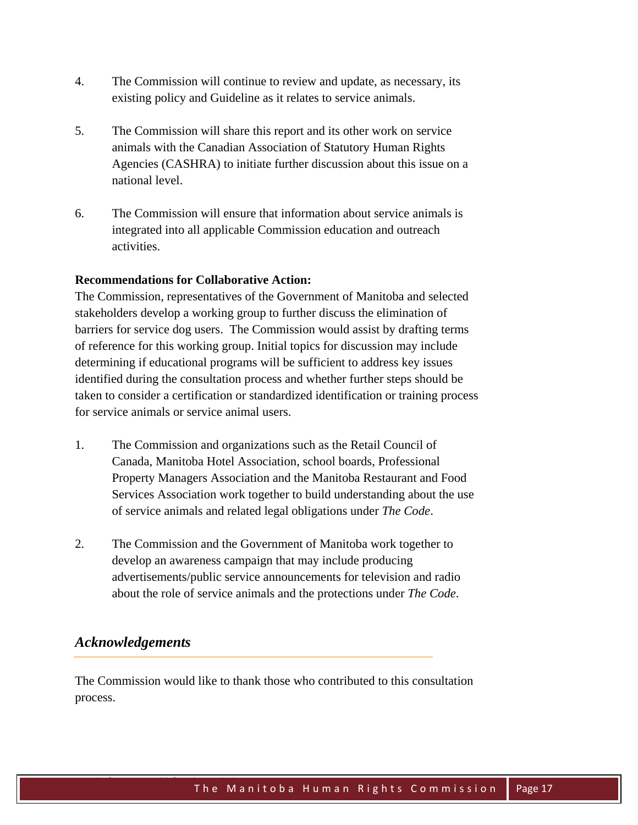- 4. The Commission will continue to review and update, as necessary, its existing policy and Guideline as it relates to service animals.
- 5. The Commission will share this report and its other work on service animals with the Canadian Association of Statutory Human Rights Agencies (CASHRA) to initiate further discussion about this issue on a national level.
- 6. The Commission will ensure that information about service animals is integrated into all applicable Commission education and outreach activities.

#### **Recommendations for Collaborative Action:**

The Commission, representatives of the Government of Manitoba and selected stakeholders develop a working group to further discuss the elimination of barriers for service dog users. The Commission would assist by drafting terms of reference for this working group. Initial topics for discussion may include determining if educational programs will be sufficient to address key issues identified during the consultation process and whether further steps should be taken to consider a certification or standardized identification or training process for service animals or service animal users.

- 1. The Commission and organizations such as the Retail Council of Canada, Manitoba Hotel Association, school boards, Professional Property Managers Association and the Manitoba Restaurant and Food Services Association work together to build understanding about the use of service animals and related legal obligations under *The Code*.
- 2. The Commission and the Government of Manitoba work together to develop an awareness campaign that may include producing advertisements/public service announcements for television and radio about the role of service animals and the protections under *The Code*.

## *Acknowledgements*

The Commission would like to thank those who contributed to this consultation process.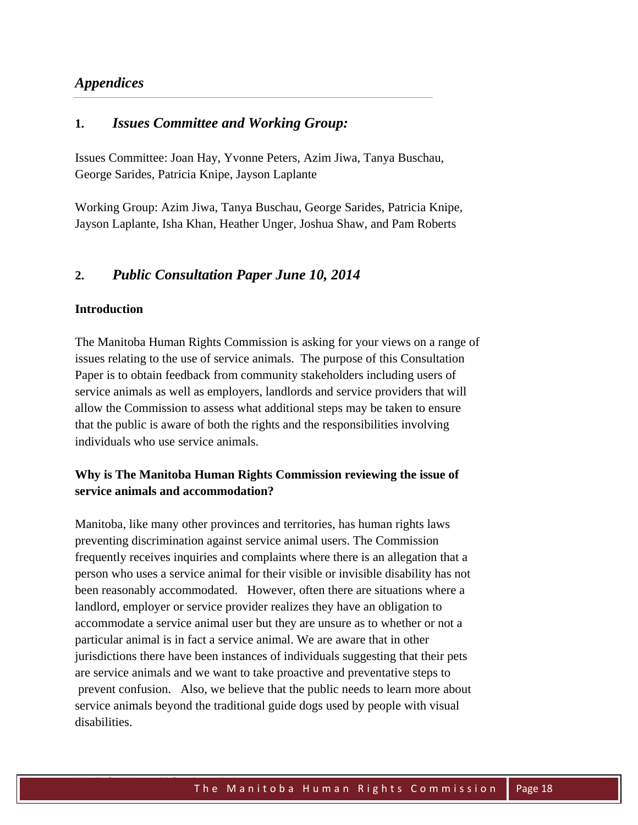## *Appendices*

#### **1.** *Issues Committee and Working Group:*

Issues Committee: Joan Hay, Yvonne Peters, Azim Jiwa, Tanya Buschau, George Sarides, Patricia Knipe, Jayson Laplante

Working Group: Azim Jiwa, Tanya Buschau, George Sarides, Patricia Knipe, Jayson Laplante, Isha Khan, Heather Unger, Joshua Shaw, and Pam Roberts

#### **2.** *Public Consultation Paper June 10, 2014*

#### **Introduction**

The Manitoba Human Rights Commission is asking for your views on a range of issues relating to the use of service animals. The purpose of this Consultation Paper is to obtain feedback from community stakeholders including users of service animals as well as employers, landlords and service providers that will allow the Commission to assess what additional steps may be taken to ensure that the public is aware of both the rights and the responsibilities involving individuals who use service animals.

## **Why is The Manitoba Human Rights Commission reviewing the issue of service animals and accommodation?**

Manitoba, like many other provinces and territories, has human rights laws preventing discrimination against service animal users. The Commission frequently receives inquiries and complaints where there is an allegation that a person who uses a service animal for their visible or invisible disability has not been reasonably accommodated. However, often there are situations where a landlord, employer or service provider realizes they have an obligation to accommodate a service animal user but they are unsure as to whether or not a particular animal is in fact a service animal. We are aware that in other jurisdictions there have been instances of individuals suggesting that their pets are service animals and we want to take proactive and preventative steps to prevent confusion. Also, we believe that the public needs to learn more about service animals beyond the traditional guide dogs used by people with visual disabilities.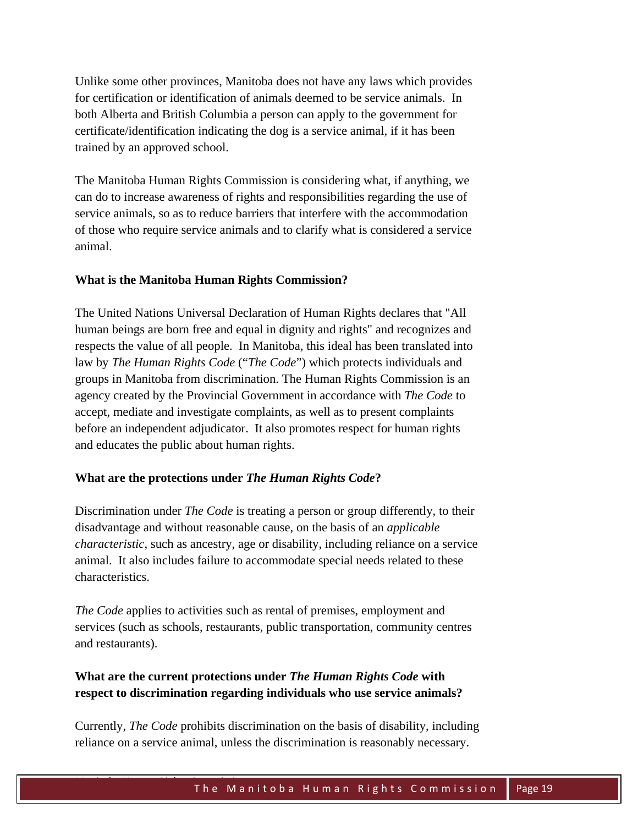Unlike some other provinces, Manitoba does not have any laws which provides for certification or identification of animals deemed to be service animals. In both Alberta and British Columbia a person can apply to the government for certificate/identification indicating the dog is a service animal, if it has been trained by an approved school.

The Manitoba Human Rights Commission is considering what, if anything, we can do to increase awareness of rights and responsibilities regarding the use of service animals, so as to reduce barriers that interfere with the accommodation of those who require service animals and to clarify what is considered a service animal.

#### **What is the Manitoba Human Rights Commission?**

The United Nations Universal Declaration of Human Rights declares that "All human beings are born free and equal in dignity and rights" and recognizes and respects the value of all people. In Manitoba, this ideal has been translated into law by *The Human Rights Code* ("*The Code*") which protects individuals and groups in Manitoba from discrimination. The Human Rights Commission is an agency created by the Provincial Government in accordance with *The Code* to accept, mediate and investigate complaints, as well as to present complaints before an independent adjudicator. It also promotes respect for human rights and educates the public about human rights.

#### **What are the protections under** *The Human Rights Code***?**

Discrimination under *The Code* is treating a person or group differently, to their disadvantage and without reasonable cause, on the basis of an *applicable characteristic*, such as ancestry, age or disability, including reliance on a service animal. It also includes failure to accommodate special needs related to these characteristics.

*The Code* applies to activities such as rental of premises, employment and services (such as schools, restaurants, public transportation, community centres and restaurants).

## **What are the current protections under** *The Human Rights Code* **with respect to discrimination regarding individuals who use service animals?**

Currently, *The Code* prohibits discrimination on the basis of disability, including reliance on a service animal, unless the discrimination is reasonably necessary.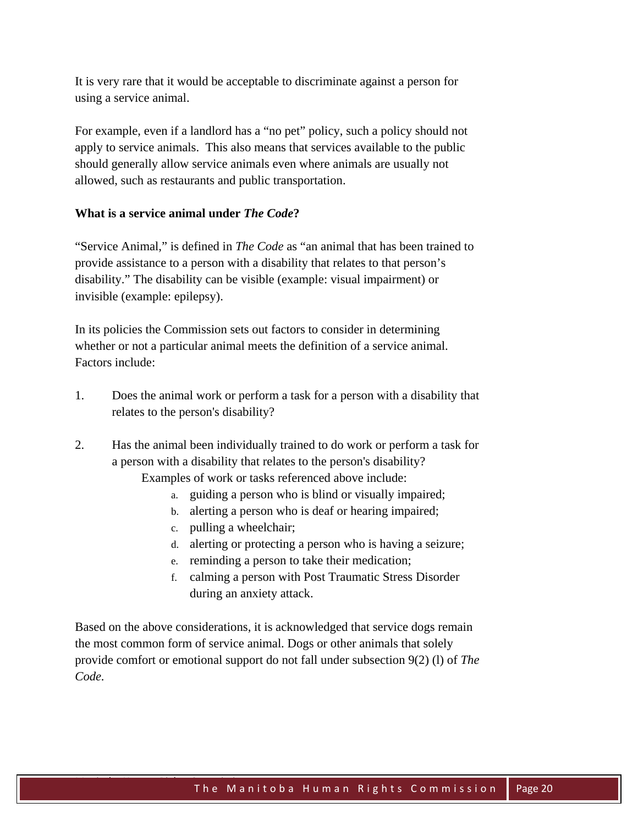It is very rare that it would be acceptable to discriminate against a person for using a service animal.

For example, even if a landlord has a "no pet" policy, such a policy should not apply to service animals. This also means that services available to the public should generally allow service animals even where animals are usually not allowed, such as restaurants and public transportation.

## **What is a service animal under** *The Code***?**

"Service Animal," is defined in *The Code* as "an animal that has been trained to provide assistance to a person with a disability that relates to that person's disability." The disability can be visible (example: visual impairment) or invisible (example: epilepsy).

In its policies the Commission sets out factors to consider in determining whether or not a particular animal meets the definition of a service animal. Factors include:

- 1. Does the animal work or perform a task for a person with a disability that relates to the person's disability?
- 2. Has the animal been individually trained to do work or perform a task for a person with a disability that relates to the person's disability?

Examples of work or tasks referenced above include:

- guiding a person who is blind or visually impaired;
- b. alerting a person who is deaf or hearing impaired;
- c. pulling a wheelchair;
- d. alerting or protecting a person who is having a seizure;
- e. reminding a person to take their medication;
- f. calming a person with Post Traumatic Stress Disorder during an anxiety attack.

Based on the above considerations, it is acknowledged that service dogs remain the most common form of service animal. Dogs or other animals that solely provide comfort or emotional support do not fall under subsection 9(2) (l) of *The Code.*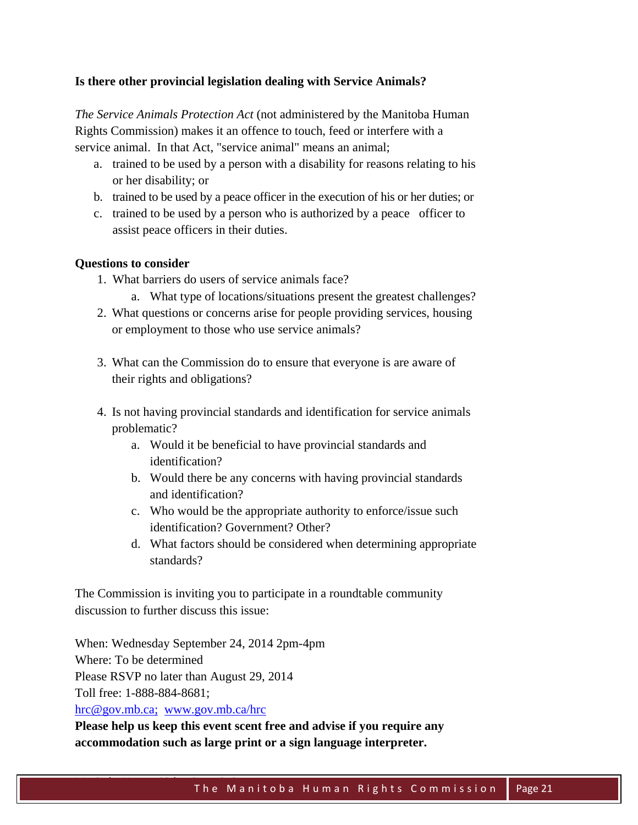#### **Is there other provincial legislation dealing with Service Animals?**

*The Service Animals Protection Act* (not administered by the Manitoba Human Rights Commission) makes it an offence to touch, feed or interfere with a service animal. In that Act, "service animal" means an animal;

- a. trained to be used by a person with a disability for reasons relating to his or her disability; or
- b. trained to be used by a peace officer in the execution of his or her duties; or
- c. trained to be used by a person who is authorized by a peace officer to assist peace officers in their duties.

#### **Questions to consider**

- 1. What barriers do users of service animals face?
	- a. What type of locations/situations present the greatest challenges?
- 2. What questions or concerns arise for people providing services, housing or employment to those who use service animals?
- 3. What can the Commission do to ensure that everyone is are aware of their rights and obligations?
- 4. Is not having provincial standards and identification for service animals problematic?
	- a. Would it be beneficial to have provincial standards and identification?
	- b. Would there be any concerns with having provincial standards and identification?
	- c. Who would be the appropriate authority to enforce/issue such identification? Government? Other?
	- d. What factors should be considered when determining appropriate standards?

The Commission is inviting you to participate in a roundtable community discussion to further discuss this issue:

When: Wednesday September 24, 2014 2pm-4pm Where: To be determined Please RSVP no later than August 29, 2014 Toll free: 1-888-884-8681; hrc@gov.mb.ca; www.gov.mb.ca/hrc

**Please help us keep this event scent free and advise if you require any accommodation such as large print or a sign language interpreter.**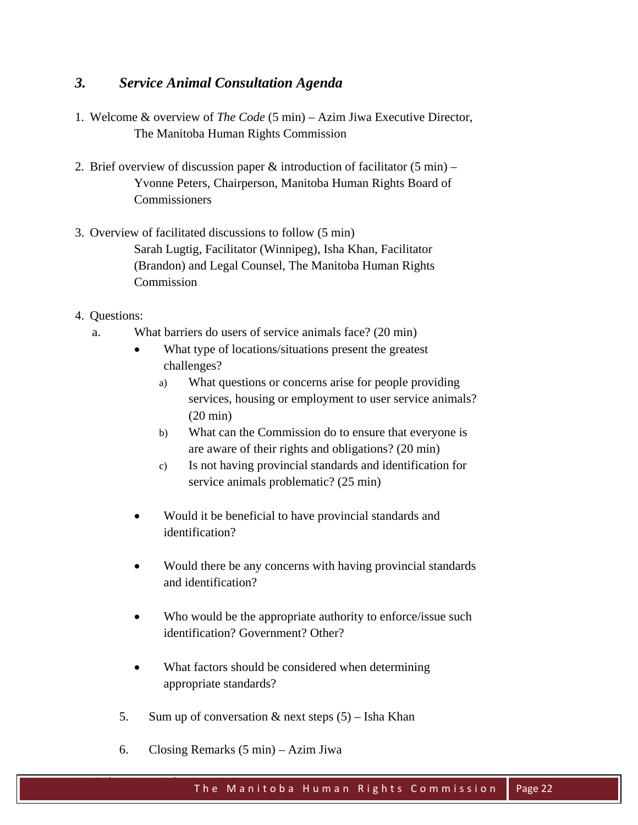## *3. Service Animal Consultation Agenda*

- 1. Welcome & overview of *The Code* (5 min) Azim Jiwa Executive Director, The Manitoba Human Rights Commission
- 2. Brief overview of discussion paper  $\&$  introduction of facilitator (5 min) Yvonne Peters, Chairperson, Manitoba Human Rights Board of **Commissioners**
- 3. Overview of facilitated discussions to follow (5 min) Sarah Lugtig, Facilitator (Winnipeg), Isha Khan, Facilitator (Brandon) and Legal Counsel, The Manitoba Human Rights Commission
- 4. Questions:
	- a. What barriers do users of service animals face? (20 min)
		- What type of locations/situations present the greatest challenges?
			- a) What questions or concerns arise for people providing services, housing or employment to user service animals? (20 min)
			- b) What can the Commission do to ensure that everyone is are aware of their rights and obligations? (20 min)
			- c) Is not having provincial standards and identification for service animals problematic? (25 min)
		- Would it be beneficial to have provincial standards and identification?
		- Would there be any concerns with having provincial standards and identification?
		- Who would be the appropriate authority to enforce/issue such identification? Government? Other?
		- What factors should be considered when determining appropriate standards?
		- 5. Sum up of conversation  $\&$  next steps  $(5)$  Isha Khan
		- 6. Closing Remarks (5 min) Azim Jiwa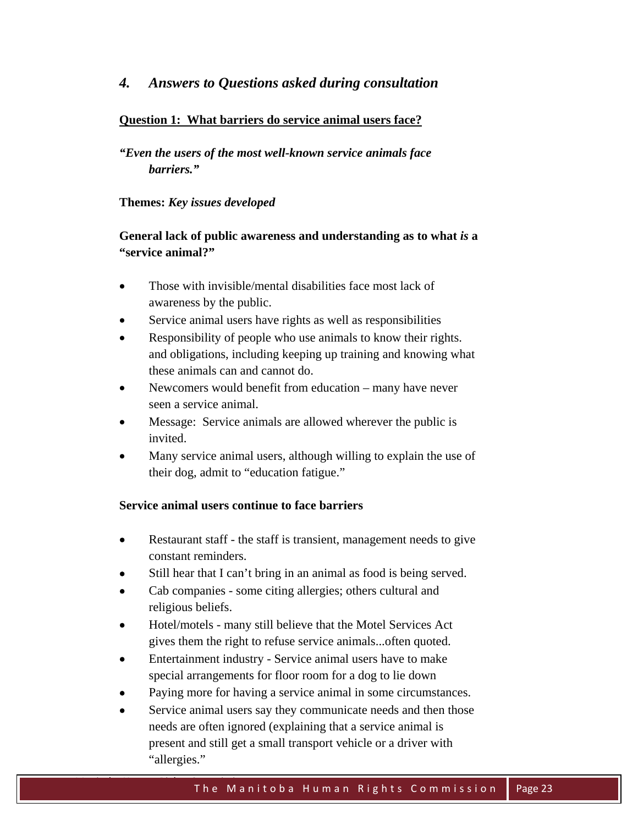## **Question 1: What barriers do service animal users face?**

*"Even the users of the most well-known service animals face barriers."* 

#### **Themes:** *Key issues developed*

## **General lack of public awareness and understanding as to what** *is* **a "service animal?"**

- Those with invisible/mental disabilities face most lack of awareness by the public.
- Service animal users have rights as well as responsibilities
- Responsibility of people who use animals to know their rights. and obligations, including keeping up training and knowing what these animals can and cannot do.
- Newcomers would benefit from education many have never seen a service animal.
- Message: Service animals are allowed wherever the public is invited.
- Many service animal users, although willing to explain the use of their dog, admit to "education fatigue."

## **Service animal users continue to face barriers**

- Restaurant staff the staff is transient, management needs to give constant reminders.
- Still hear that I can't bring in an animal as food is being served.
- Cab companies some citing allergies; others cultural and religious beliefs.
- Hotel/motels many still believe that the Motel Services Act gives them the right to refuse service animals...often quoted.
- Entertainment industry Service animal users have to make special arrangements for floor room for a dog to lie down
- Paying more for having a service animal in some circumstances.
- Service animal users say they communicate needs and then those needs are often ignored (explaining that a service animal is present and still get a small transport vehicle or a driver with "allergies."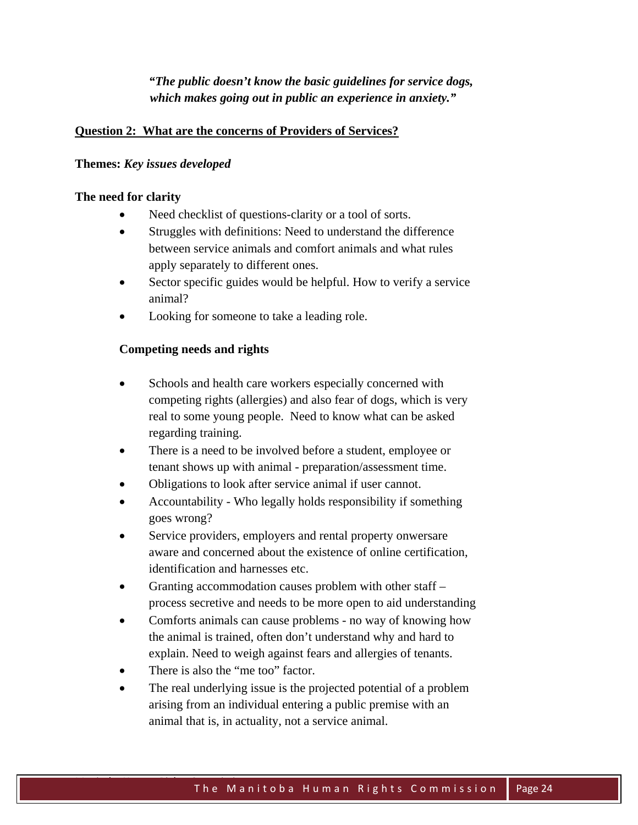## *"The public doesn't know the basic guidelines for service dogs, which makes going out in public an experience in anxiety."*

#### **Question 2: What are the concerns of Providers of Services?**

#### **Themes:** *Key issues developed*

#### **The need for clarity**

- Need checklist of questions-clarity or a tool of sorts.
- Struggles with definitions: Need to understand the difference between service animals and comfort animals and what rules apply separately to different ones.
- Sector specific guides would be helpful. How to verify a service animal?
- Looking for someone to take a leading role.

#### **Competing needs and rights**

- Schools and health care workers especially concerned with competing rights (allergies) and also fear of dogs, which is very real to some young people. Need to know what can be asked regarding training.
- There is a need to be involved before a student, employee or tenant shows up with animal - preparation/assessment time.
- Obligations to look after service animal if user cannot.
- Accountability Who legally holds responsibility if something goes wrong?
- Service providers, employers and rental property onwersare aware and concerned about the existence of online certification, identification and harnesses etc.
- Granting accommodation causes problem with other staff process secretive and needs to be more open to aid understanding
- Comforts animals can cause problems no way of knowing how the animal is trained, often don't understand why and hard to explain. Need to weigh against fears and allergies of tenants.
- There is also the "me too" factor.
- The real underlying issue is the projected potential of a problem arising from an individual entering a public premise with an animal that is, in actuality, not a service animal.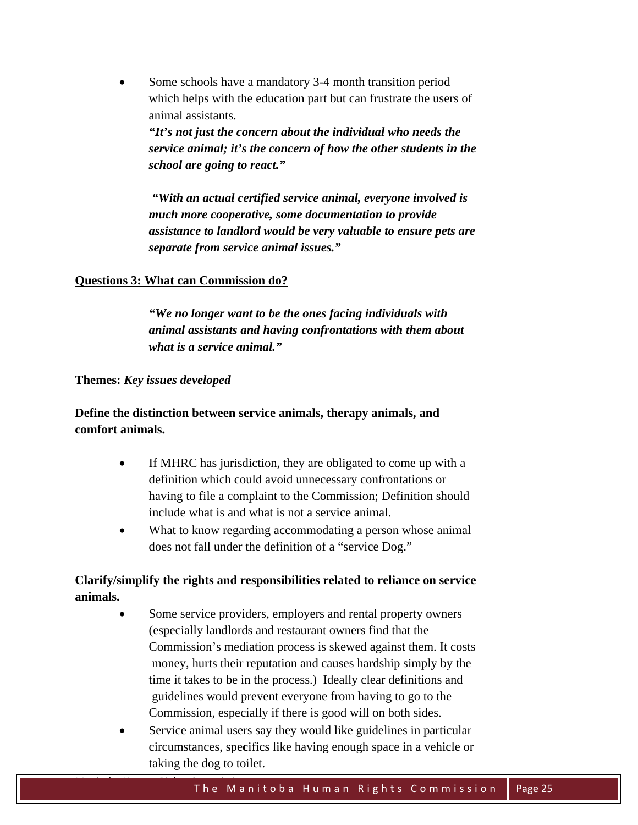Some schools have a mandatory 3-4 month transition period which helps with the education part but can frustrate the users of animal assistants.

*"It's not just the concern about the individual who needs the service animal; it's the concern of how the other students in the school are going to react."* 

*"With an actual certified service animal, everyone involved is much more cooperative, some documentation to provide assistance to landlord would be very valuable to ensure pets are separate from service animal issues."* 

#### **Questions 3: What can Commission do?**

*"We no longer want to be the ones facing individuals with animal assistants and having confrontations with them about what is a service animal."* 

#### **Themes:** *Key issues developed*

**Define the distinction between service animals, therapy animals, and comfort animals.** 

- If MHRC has jurisdiction, they are obligated to come up with a definition which could avoid unnecessary confrontations or having to file a complaint to the Commission; Definition should include what is and what is not a service animal.
- What to know regarding accommodating a person whose animal does not fall under the definition of a "service Dog."

## **Clarify/simplify the rights and responsibilities related to reliance on service animals.**

- Some service providers, employers and rental property owners (especially landlords and restaurant owners find that the Commission's mediation process is skewed against them. It costs money, hurts their reputation and causes hardship simply by the time it takes to be in the process.) Ideally clear definitions and guidelines would prevent everyone from having to go to the Commission, especially if there is good will on both sides.
- Service animal users say they would like guidelines in particular circumstances, spe**c**ifics like having enough space in a vehicle or taking the dog to toilet.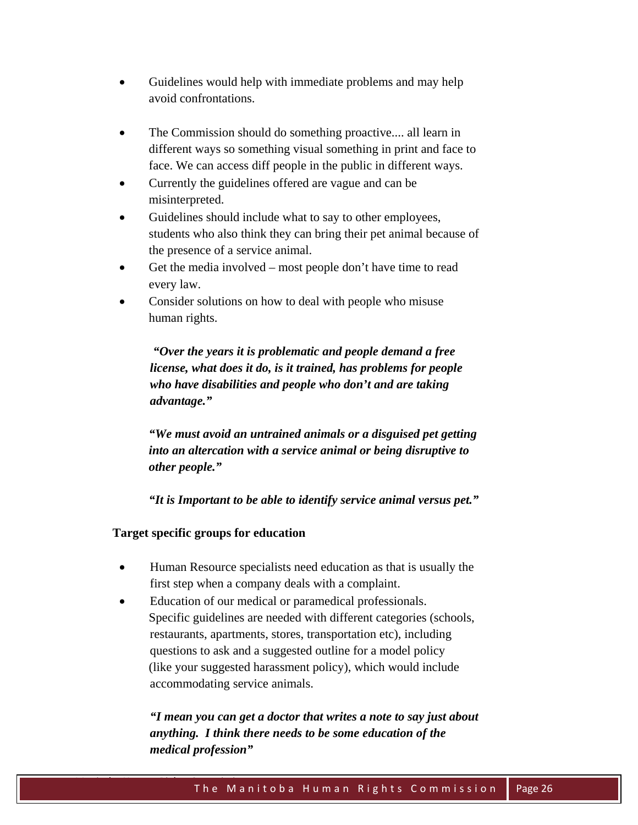- Guidelines would help with immediate problems and may help avoid confrontations.
- The Commission should do something proactive.... all learn in different ways so something visual something in print and face to face. We can access diff people in the public in different ways.
- Currently the guidelines offered are vague and can be misinterpreted.
- Guidelines should include what to say to other employees, students who also think they can bring their pet animal because of the presence of a service animal.
- Get the media involved most people don't have time to read every law.
- Consider solutions on how to deal with people who misuse human rights.

*"Over the years it is problematic and people demand a free license, what does it do, is it trained, has problems for people who have disabilities and people who don't and are taking advantage."* 

*"We must avoid an untrained animals or a disguised pet getting into an altercation with a service animal or being disruptive to other people."* 

*"It is Important to be able to identify service animal versus pet."* 

**Target specific groups for education** 

- Human Resource specialists need education as that is usually the first step when a company deals with a complaint.
- Education of our medical or paramedical professionals. Specific guidelines are needed with different categories (schools, restaurants, apartments, stores, transportation etc), including questions to ask and a suggested outline for a model policy (like your suggested harassment policy), which would include accommodating service animals.

*"I mean you can get a doctor that writes a note to say just about anything. I think there needs to be some education of the medical profession"*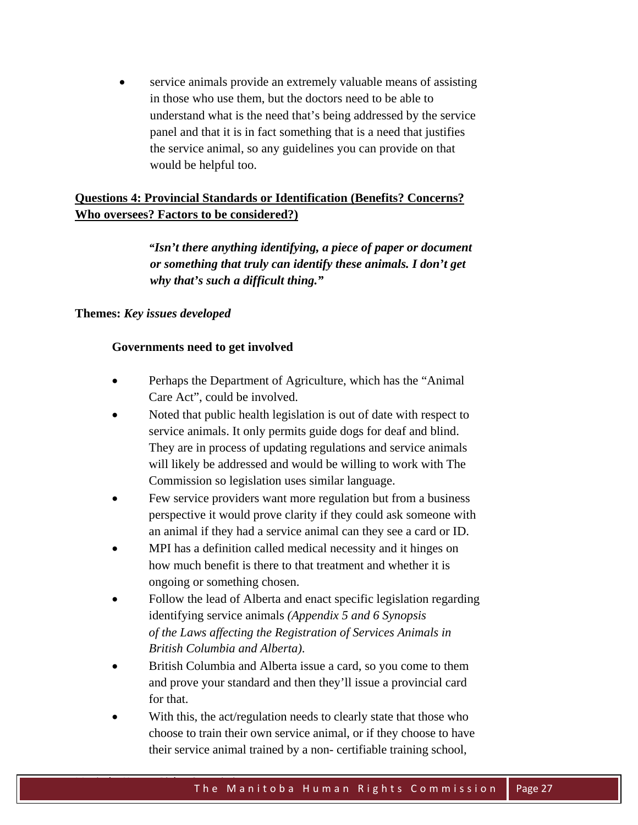service animals provide an extremely valuable means of assisting in those who use them, but the doctors need to be able to understand what is the need that's being addressed by the service panel and that it is in fact something that is a need that justifies the service animal, so any guidelines you can provide on that would be helpful too.

## **Questions 4: Provincial Standards or Identification (Benefits? Concerns? Who oversees? Factors to be considered?)**

*"Isn't there anything identifying, a piece of paper or document or something that truly can identify these animals. I don't get why that's such a difficult thing."* 

## **Themes:** *Key issues developed*

## **Governments need to get involved**

- Perhaps the Department of Agriculture, which has the "Animal Care Act", could be involved.
- Noted that public health legislation is out of date with respect to service animals. It only permits guide dogs for deaf and blind. They are in process of updating regulations and service animals will likely be addressed and would be willing to work with The Commission so legislation uses similar language.
- Few service providers want more regulation but from a business perspective it would prove clarity if they could ask someone with an animal if they had a service animal can they see a card or ID.
- MPI has a definition called medical necessity and it hinges on how much benefit is there to that treatment and whether it is ongoing or something chosen.
- Follow the lead of Alberta and enact specific legislation regarding identifying service animals *(Appendix 5 and 6 Synopsis of the Laws affecting the Registration of Services Animals in British Columbia and Alberta)*.
- British Columbia and Alberta issue a card, so you come to them and prove your standard and then they'll issue a provincial card for that.
- With this, the act/regulation needs to clearly state that those who choose to train their own service animal, or if they choose to have their service animal trained by a non- certifiable training school,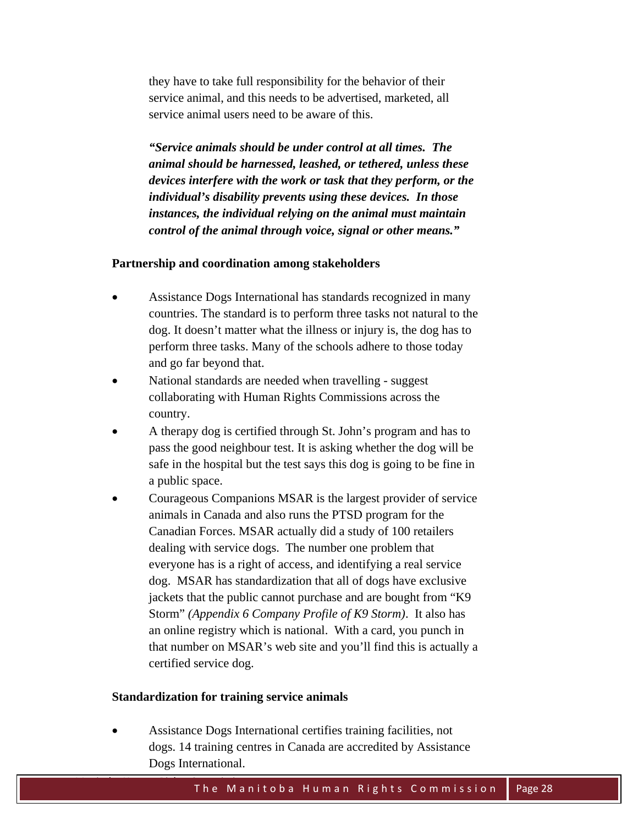they have to take full responsibility for the behavior of their service animal, and this needs to be advertised, marketed, all service animal users need to be aware of this.

*"Service animals should be under control at all times. The animal should be harnessed, leashed, or tethered, unless these devices interfere with the work or task that they perform, or the individual's disability prevents using these devices. In those instances, the individual relying on the animal must maintain control of the animal through voice, signal or other means."* 

#### **Partnership and coordination among stakeholders**

- Assistance Dogs International has standards recognized in many countries. The standard is to perform three tasks not natural to the dog. It doesn't matter what the illness or injury is, the dog has to perform three tasks. Many of the schools adhere to those today and go far beyond that.
- National standards are needed when travelling suggest collaborating with Human Rights Commissions across the country.
- A therapy dog is certified through St. John's program and has to pass the good neighbour test. It is asking whether the dog will be safe in the hospital but the test says this dog is going to be fine in a public space.
- Courageous Companions MSAR is the largest provider of service animals in Canada and also runs the PTSD program for the Canadian Forces. MSAR actually did a study of 100 retailers dealing with service dogs. The number one problem that everyone has is a right of access, and identifying a real service dog. MSAR has standardization that all of dogs have exclusive jackets that the public cannot purchase and are bought from "K9 Storm" *(Appendix 6 Company Profile of K9 Storm)*. It also has an online registry which is national. With a card, you punch in that number on MSAR's web site and you'll find this is actually a certified service dog.

#### **Standardization for training service animals**

 Assistance Dogs International certifies training facilities, not dogs. 14 training centres in Canada are accredited by Assistance Dogs International.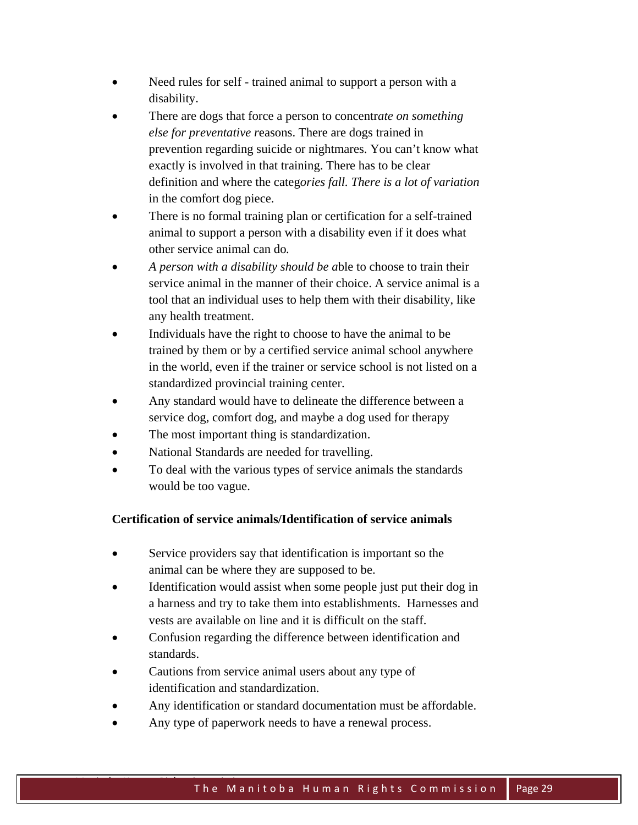- Need rules for self trained animal to support a person with a disability.
- There are dogs that force a person to concentr*ate on something else for preventative r*easons. There are dogs trained in prevention regarding suicide or nightmares. You can't know what exactly is involved in that training. There has to be clear definition and where the categ*ories fall. There is a lot of variation*  in the comfort dog piece.
- There is no formal training plan or certification for a self-trained animal to support a person with a disability even if it does what other service animal can do*.*
- *A person with a disability should be a*ble to choose to train their service animal in the manner of their choice. A service animal is a tool that an individual uses to help them with their disability, like any health treatment.
- Individuals have the right to choose to have the animal to be trained by them or by a certified service animal school anywhere in the world, even if the trainer or service school is not listed on a standardized provincial training center.
- Any standard would have to delineate the difference between a service dog, comfort dog, and maybe a dog used for therapy
- The most important thing is standardization.
- National Standards are needed for travelling.
- To deal with the various types of service animals the standards would be too vague.

## **Certification of service animals/Identification of service animals**

- Service providers say that identification is important so the animal can be where they are supposed to be.
- Identification would assist when some people just put their dog in a harness and try to take them into establishments. Harnesses and vests are available on line and it is difficult on the staff.
- Confusion regarding the difference between identification and standards.
- Cautions from service animal users about any type of identification and standardization.
- Any identification or standard documentation must be affordable.
- Any type of paperwork needs to have a renewal process.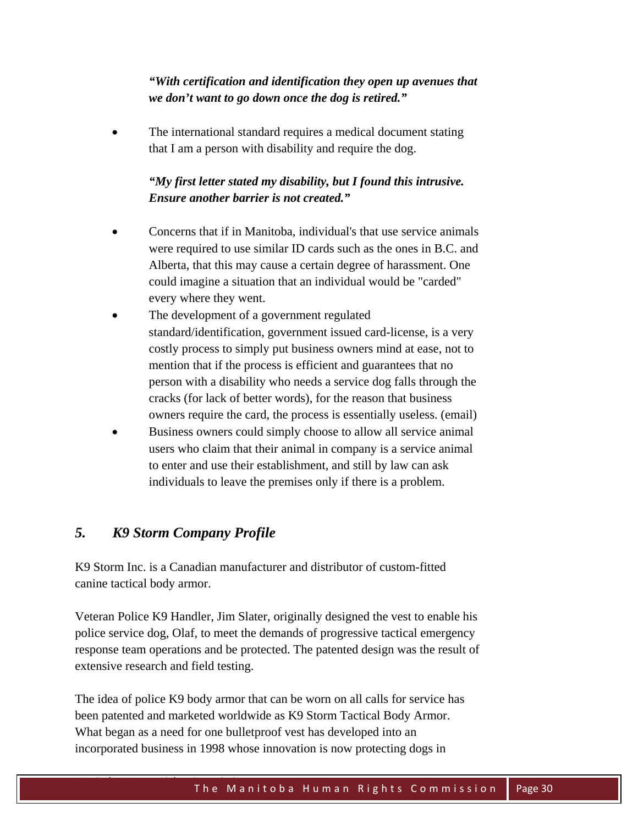## *"With certification and identification they open up avenues that we don't want to go down once the dog is retired."*

 The international standard requires a medical document stating that I am a person with disability and require the dog.

## *"My first letter stated my disability, but I found this intrusive. Ensure another barrier is not created."*

- Concerns that if in Manitoba, individual's that use service animals were required to use similar ID cards such as the ones in B.C. and Alberta, that this may cause a certain degree of harassment. One could imagine a situation that an individual would be "carded" every where they went.
- The development of a government regulated standard/identification, government issued card-license, is a very costly process to simply put business owners mind at ease, not to mention that if the process is efficient and guarantees that no person with a disability who needs a service dog falls through the cracks (for lack of better words), for the reason that business owners require the card, the process is essentially useless. (email)
- Business owners could simply choose to allow all service animal users who claim that their animal in company is a service animal to enter and use their establishment, and still by law can ask individuals to leave the premises only if there is a problem.

## *5. K9 Storm Company Profile*

K9 Storm Inc. is a Canadian manufacturer and distributor of custom-fitted canine tactical body armor.

Veteran Police K9 Handler, Jim Slater, originally designed the vest to enable his police service dog, Olaf, to meet the demands of progressive tactical emergency response team operations and be protected. The patented design was the result of extensive research and field testing.

The idea of police K9 body armor that can be worn on all calls for service has been patented and marketed worldwide as K9 Storm Tactical Body Armor. What began as a need for one bulletproof vest has developed into an incorporated business in 1998 whose innovation is now protecting dogs in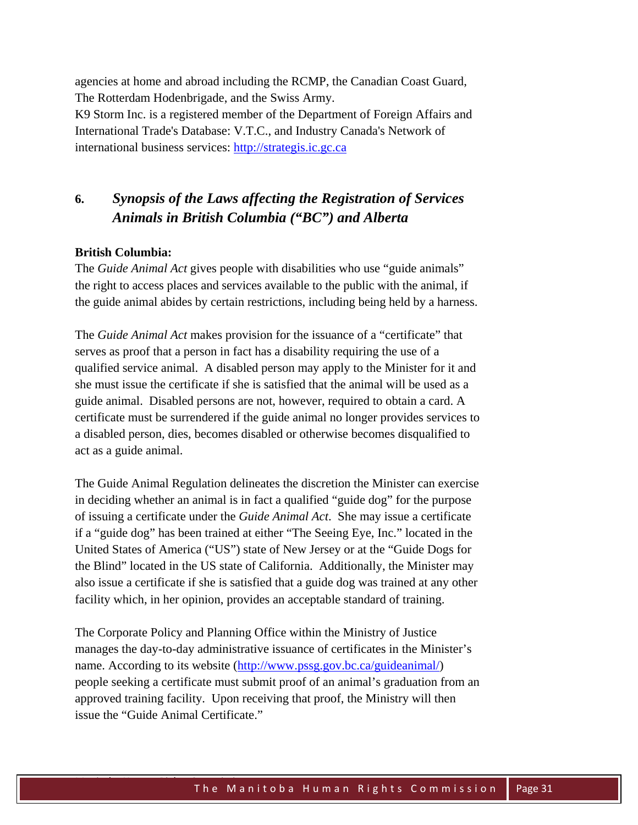agencies at home and abroad including the RCMP, the Canadian Coast Guard, The Rotterdam Hodenbrigade, and the Swiss Army.

K9 Storm Inc. is a registered member of the Department of Foreign Affairs and International Trade's Database: V.T.C., and Industry Canada's Network of international business services: http://strategis.ic.gc.ca

## **6.** *Synopsis of the Laws affecting the Registration of Services Animals in British Columbia ("BC") and Alberta*

## **British Columbia:**

The *Guide Animal Act* gives people with disabilities who use "guide animals" the right to access places and services available to the public with the animal, if the guide animal abides by certain restrictions, including being held by a harness.

The *Guide Animal Act* makes provision for the issuance of a "certificate" that serves as proof that a person in fact has a disability requiring the use of a qualified service animal. A disabled person may apply to the Minister for it and she must issue the certificate if she is satisfied that the animal will be used as a guide animal. Disabled persons are not, however, required to obtain a card. A certificate must be surrendered if the guide animal no longer provides services to a disabled person, dies, becomes disabled or otherwise becomes disqualified to act as a guide animal.

The Guide Animal Regulation delineates the discretion the Minister can exercise in deciding whether an animal is in fact a qualified "guide dog" for the purpose of issuing a certificate under the *Guide Animal Act*. She may issue a certificate if a "guide dog" has been trained at either "The Seeing Eye, Inc." located in the United States of America ("US") state of New Jersey or at the "Guide Dogs for the Blind" located in the US state of California. Additionally, the Minister may also issue a certificate if she is satisfied that a guide dog was trained at any other facility which, in her opinion, provides an acceptable standard of training.

The Corporate Policy and Planning Office within the Ministry of Justice manages the day-to-day administrative issuance of certificates in the Minister's name. According to its website (http://www.pssg.gov.bc.ca/guideanimal/) people seeking a certificate must submit proof of an animal's graduation from an approved training facility. Upon receiving that proof, the Ministry will then issue the "Guide Animal Certificate."